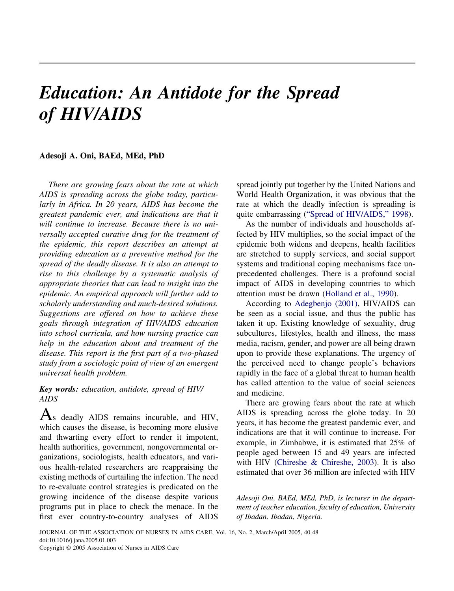# *Education: An Antidote for the Spread of HIV/AIDS*

#### **Adesoji A. Oni, BAEd, MEd, PhD**

*There are growing fears about the rate at which AIDS is spreading across the globe today, particularly in Africa. In 20 years, AIDS has become the greatest pandemic ever, and indications are that it will continue to increase. Because there is no universally accepted curative drug for the treatment of the epidemic, this report describes an attempt at providing education as a preventive method for the spread of the deadly disease. It is also an attempt to rise to this challenge by a systematic analysis of appropriate theories that can lead to insight into the epidemic. An empirical approach will further add to scholarly understanding and much-desired solutions. Suggestions are offered on how to achieve these goals through integration of HIV/AIDS education into school curricula, and how nursing practice can help in the education about and treatment of the disease. This report is the first part of a two-phased study from a sociologic point of view of an emergent universal health problem.*

*Key words: education, antidote, spread of HIV/ AIDS*

 $\mathbf{A}$ s deadly AIDS remains incurable, and HIV, which causes the disease, is becoming more elusive and thwarting every effort to render it impotent, health authorities, government, nongovernmental organizations, sociologists, health educators, and various health-related researchers are reappraising the existing methods of curtailing the infection. The need to re-evaluate control strategies is predicated on the growing incidence of the disease despite various programs put in place to check the menace. In the first ever country-to-country analyses of AIDS

spread jointly put together by the United Nations and World Health Organization, it was obvious that the rate at which the deadly infection is spreading is quite embarrassing [\("Spread of HIV/AIDS," 1998\)](#page-8-0).

As the number of individuals and households affected by HIV multiplies, so the social impact of the epidemic both widens and deepens, health facilities are stretched to supply services, and social support systems and traditional coping mechanisms face unprecedented challenges. There is a profound social impact of AIDS in developing countries to which attention must be drawn [\(Holland et al., 1990\)](#page-8-0).

According to [Adegbenjo \(2001\),](#page-7-0) HIV/AIDS can be seen as a social issue, and thus the public has taken it up. Existing knowledge of sexuality, drug subcultures, lifestyles, health and illness, the mass media, racism, gender, and power are all being drawn upon to provide these explanations. The urgency of the perceived need to change people's behaviors rapidly in the face of a global threat to human health has called attention to the value of social sciences and medicine.

There are growing fears about the rate at which AIDS is spreading across the globe today. In 20 years, it has become the greatest pandemic ever, and indications are that it will continue to increase. For example, in Zimbabwe, it is estimated that 25% of people aged between 15 and 49 years are infected with HIV [\(Chireshe & Chireshe, 2003\)](#page-8-0). It is also estimated that over 36 million are infected with HIV

*Adesoji Oni, BAEd, MEd, PhD, is lecturer in the department of teacher education, faculty of education, University of Ibadan, Ibadan, Nigeria.*

JOURNAL OF THE ASSOCIATION OF NURSES IN AIDS CARE, Vol. 16, No. 2, March/April 2005, 40-48 doi:10.1016/j.jana.2005.01.003 Copyright © 2005 Association of Nurses in AIDS Care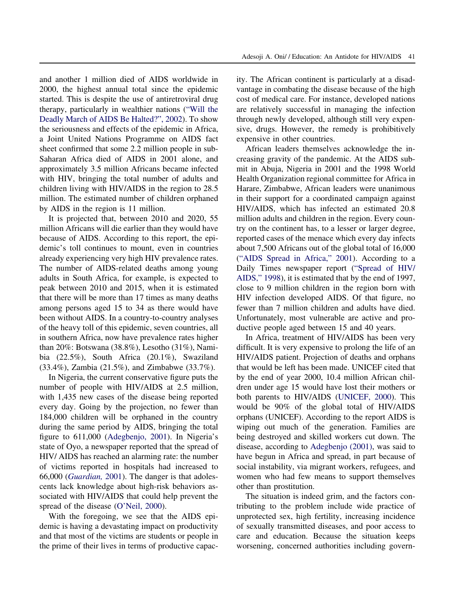and another 1 million died of AIDS worldwide in 2000, the highest annual total since the epidemic started. This is despite the use of antiretroviral drug therapy, particularly in wealthier nations ("Will the Deadly March of AIDS Be Halted?", 2002). To show the seriousness and effects of the epidemic in Africa, a Joint United Nations Programme on AIDS fact sheet confirmed that some 2.2 million people in sub-Saharan Africa died of AIDS in 2001 alone, and approximately 3.5 million Africans became infected with HIV, bringing the total number of adults and children living with HIV/AIDS in the region to 28.5 million. The estimated number of children orphaned by AIDS in the region is 11 million.

It is projected that, between 2010 and 2020, 55 million Africans will die earlier than they would have because of AIDS. According to this report, the epidemic's toll continues to mount, even in countries already experiencing very high HIV prevalence rates. The number of AIDS-related deaths among young adults in South Africa, for example, is expected to peak between 2010 and 2015, when it is estimated that there will be more than 17 times as many deaths among persons aged 15 to 34 as there would have been without AIDS. In a country-to-country analyses of the heavy toll of this epidemic, seven countries, all in southern Africa, now have prevalence rates higher than 20%: Botswana (38.8%), Lesotho (31%), Namibia (22.5%), South Africa (20.1%), Swaziland (33.4%), Zambia (21.5%), and Zimbabwe (33.7%).

In Nigeria, the current conservative figure puts the number of people with HIV/AIDS at 2.5 million, with 1,435 new cases of the disease being reported every day. Going by the projection, no fewer than 184,000 children will be orphaned in the country during the same period by AIDS, bringing the total figure to 611,000 [\(Adegbenjo, 2001\)](#page-7-0). In Nigeria's state of Oyo, a newspaper reported that the spread of HIV/ AIDS has reached an alarming rate: the number of victims reported in hospitals had increased to 66,000 (*[Guardian,](#page-8-0)* 2001). The danger is that adolescents lack knowledge about high-risk behaviors associated with HIV/AIDS that could help prevent the spread of the disease [\(O'Neil, 2000\)](#page-8-0).

With the foregoing, we see that the AIDS epidemic is having a devastating impact on productivity and that most of the victims are students or people in the prime of their lives in terms of productive capacity. The African continent is particularly at a disadvantage in combating the disease because of the high cost of medical care. For instance, developed nations are relatively successful in managing the infection through newly developed, although still very expensive, drugs. However, the remedy is prohibitively expensive in other countries.

African leaders themselves acknowledge the increasing gravity of the pandemic. At the AIDS submit in Abuja, Nigeria in 2001 and the 1998 World Health Organization regional committee for Africa in Harare, Zimbabwe, African leaders were unanimous in their support for a coordinated campaign against HIV/AIDS, which has infected an estimated 20.8 million adults and children in the region. Every country on the continent has, to a lesser or larger degree, reported cases of the menace which every day infects about 7,500 Africans out of the global total of 16,000 [\("AIDS Spread in Africa," 2001\)](#page-8-0). According to a Daily Times newspaper report [\("Spread of HIV/](#page-8-0) [AIDS," 1998\)](#page-8-0), it is estimated that by the end of 1997, close to 9 million children in the region born with HIV infection developed AIDS. Of that figure, no fewer than 7 million children and adults have died. Unfortunately, most vulnerable are active and productive people aged between 15 and 40 years.

In Africa, treatment of HIV/AIDS has been very difficult. It is very expensive to prolong the life of an HIV/AIDS patient. Projection of deaths and orphans that would be left has been made. UNICEF cited that by the end of year 2000, 10.4 million African children under age 15 would have lost their mothers or both parents to HIV/AIDS [\(UNICEF, 2000\)](#page-8-0). This would be 90% of the global total of HIV/AIDS orphans (UNICEF). According to the report AIDS is wiping out much of the generation. Families are being destroyed and skilled workers cut down. The disease, according to [Adegbenjo \(2001\),](#page-7-0) was said to have begun in Africa and spread, in part because of social instability, via migrant workers, refugees, and women who had few means to support themselves other than prostitution.

The situation is indeed grim, and the factors contributing to the problem include wide practice of unprotected sex, high fertility, increasing incidence of sexually transmitted diseases, and poor access to care and education. Because the situation keeps worsening, concerned authorities including govern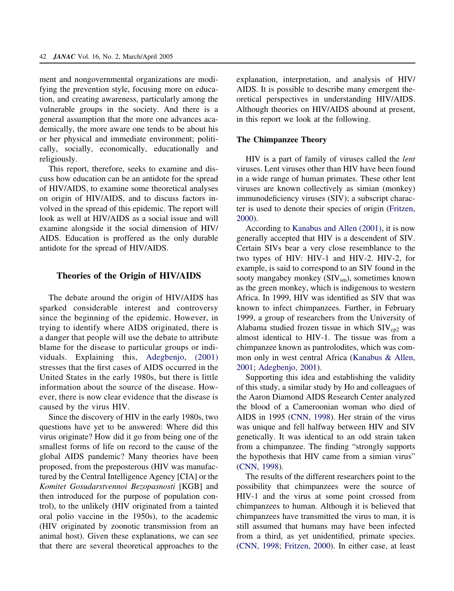ment and nongovernmental organizations are modifying the prevention style, focusing more on education, and creating awareness, particularly among the vulnerable groups in the society. And there is a general assumption that the more one advances academically, the more aware one tends to be about his or her physical and immediate environment; politically, socially, economically, educationally and religiously.

This report, therefore, seeks to examine and discuss how education can be an antidote for the spread of HIV/AIDS, to examine some theoretical analyses on origin of HIV/AIDS, and to discuss factors involved in the spread of this epidemic. The report will look as well at HIV/AIDS as a social issue and will examine alongside it the social dimension of HIV/ AIDS. Education is proffered as the only durable antidote for the spread of HIV/AIDS.

#### **Theories of the Origin of HIV/AIDS**

The debate around the origin of HIV/AIDS has sparked considerable interest and controversy since the beginning of the epidemic. However, in trying to identify where AIDS originated, there is a danger that people will use the debate to attribute blame for the disease to particular groups or individuals. Explaining this, [Adegbenjo, \(2001\)](#page-7-0) stresses that the first cases of AIDS occurred in the United States in the early 1980s, but there is little information about the source of the disease. However, there is now clear evidence that the disease is caused by the virus HIV.

Since the discovery of HIV in the early 1980s, two questions have yet to be answered: Where did this virus originate? How did it go from being one of the smallest forms of life on record to the cause of the global AIDS pandemic? Many theories have been proposed, from the preposterous (HIV was manufactured by the Central Intelligence Agency [CIA] or the *Komitet Gosudarstvennoi Bezopasnosti* [KGB] and then introduced for the purpose of population control), to the unlikely (HIV originated from a tainted oral polio vaccine in the 1950s), to the academic (HIV originated by zoonotic transmission from an animal host). Given these explanations, we can see that there are several theoretical approaches to the explanation, interpretation, and analysis of HIV/ AIDS. It is possible to describe many emergent theoretical perspectives in understanding HIV/AIDS. Although theories on HIV/AIDS abound at present, in this report we look at the following.

#### **The Chimpanzee Theory**

HIV is a part of family of viruses called the *lent* viruses. Lent viruses other than HIV have been found in a wide range of human primates. These other lent viruses are known collectively as simian (monkey) immunodeficiency viruses (SIV); a subscript character is used to denote their species of origin [\(Fritzen,](#page-8-0) [2000\)](#page-8-0).

According to [Kanabus and Allen \(2001\),](#page-8-0) it is now generally accepted that HIV is a descendent of SIV. Certain SIVs bear a very close resemblance to the two types of HIV: HIV-1 and HIV-2. HIV-2, for example, is said to correspond to an SIV found in the sooty mangabey monkey  $(SIV_{sm})$ , sometimes known as the green monkey, which is indigenous to western Africa. In 1999, HIV was identified as SIV that was known to infect chimpanzees. Further, in February 1999, a group of researchers from the University of Alabama studied frozen tissue in which  $\text{SIV}_{\text{CD}}$  was almost identical to HIV-1. The tissue was from a chimpanzee known as pantrolodites, which was common only in west central Africa [\(Kanabus & Allen,](#page-8-0) [2001;](#page-8-0) [Adegbenjo, 2001\)](#page-7-0).

Supporting this idea and establishing the validity of this study, a similar study by Ho and colleagues of the Aaron Diamond AIDS Research Center analyzed the blood of a Cameroonian woman who died of AIDS in 1995 [\(CNN, 1998\)](#page-8-0). Her strain of the virus was unique and fell halfway between HIV and SIV genetically. It was identical to an odd strain taken from a chimpanzee. The finding "strongly supports the hypothesis that HIV came from a simian virus" [\(CNN, 1998\)](#page-8-0).

The results of the different researchers point to the possibility that chimpanzees were the source of HIV-1 and the virus at some point crossed from chimpanzees to human. Although it is believed that chimpanzees have transmitted the virus to man, it is still assumed that humans may have been infected from a third, as yet unidentified, primate species. [\(CNN, 1998;](#page-8-0) [Fritzen, 2000\)](#page-8-0). In either case, at least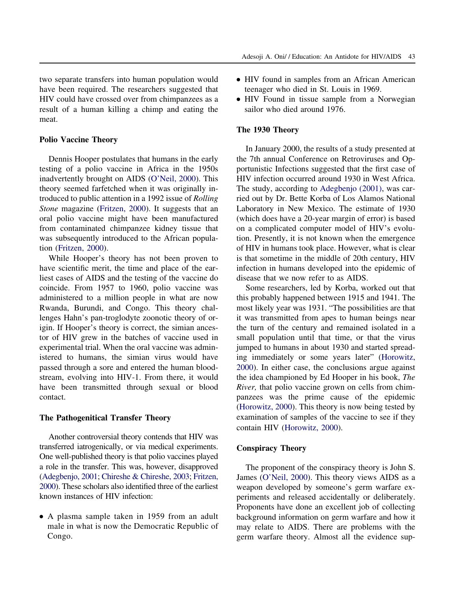two separate transfers into human population would have been required. The researchers suggested that HIV could have crossed over from chimpanzees as a result of a human killing a chimp and eating the meat.

## **Polio Vaccine Theory**

Dennis Hooper postulates that humans in the early testing of a polio vaccine in Africa in the 1950s inadvertently brought on AIDS [\(O'Neil, 2000\)](#page-8-0). This theory seemed farfetched when it was originally introduced to public attention in a 1992 issue of *Rolling Stone* magazine [\(Fritzen, 2000\)](#page-8-0). It suggests that an oral polio vaccine might have been manufactured from contaminated chimpanzee kidney tissue that was subsequently introduced to the African population [\(Fritzen, 2000\)](#page-8-0).

While Hooper's theory has not been proven to have scientific merit, the time and place of the earliest cases of AIDS and the testing of the vaccine do coincide. From 1957 to 1960, polio vaccine was administered to a million people in what are now Rwanda, Burundi, and Congo. This theory challenges Hahn's pan-troglodyte zoonotic theory of origin. If Hooper's theory is correct, the simian ancestor of HIV grew in the batches of vaccine used in experimental trial. When the oral vaccine was administered to humans, the simian virus would have passed through a sore and entered the human bloodstream, evolving into HIV-1. From there, it would have been transmitted through sexual or blood contact.

#### **The Pathogenitical Transfer Theory**

Another controversial theory contends that HIV was transferred iatrogenically, or via medical experiments. One well-published theory is that polio vaccines played a role in the transfer. This was, however, disapproved [\(Adegbenjo, 2001;](#page-7-0) [Chireshe & Chireshe, 2003;](#page-8-0) [Fritzen,](#page-8-0) [2000\)](#page-8-0). These scholars also identified three of the earliest known instances of HIV infection:

• A plasma sample taken in 1959 from an adult male in what is now the Democratic Republic of Congo.

- HIV found in samples from an African American teenager who died in St. Louis in 1969.
- HIV Found in tissue sample from a Norwegian sailor who died around 1976.

# **The 1930 Theory**

In January 2000, the results of a study presented at the 7th annual Conference on Retroviruses and Opportunistic Infections suggested that the first case of HIV infection occurred around 1930 in West Africa. The study, according to [Adegbenjo \(2001\),](#page-7-0) was carried out by Dr. Bette Korba of Los Alamos National Laboratory in New Mexico. The estimate of 1930 (which does have a 20-year margin of error) is based on a complicated computer model of HIV's evolution. Presently, it is not known when the emergence of HIV in humans took place. However, what is clear is that sometime in the middle of 20th century, HIV infection in humans developed into the epidemic of disease that we now refer to as AIDS.

Some researchers, led by Korba, worked out that this probably happened between 1915 and 1941. The most likely year was 1931. "The possibilities are that it was transmitted from apes to human beings near the turn of the century and remained isolated in a small population until that time, or that the virus jumped to humans in about 1930 and started spreading immediately or some years later" [\(Horowitz,](#page-8-0) [2000\)](#page-8-0). In either case, the conclusions argue against the idea championed by Ed Hooper in his book, *The River,* that polio vaccine grown on cells from chimpanzees was the prime cause of the epidemic [\(Horowitz, 2000\)](#page-8-0). This theory is now being tested by examination of samples of the vaccine to see if they contain HIV [\(Horowitz, 2000\)](#page-8-0).

# **Conspiracy Theory**

The proponent of the conspiracy theory is John S. James [\(O'Neil, 2000\)](#page-8-0). This theory views AIDS as a weapon developed by someone's germ warfare experiments and released accidentally or deliberately. Proponents have done an excellent job of collecting background information on germ warfare and how it may relate to AIDS. There are problems with the germ warfare theory. Almost all the evidence sup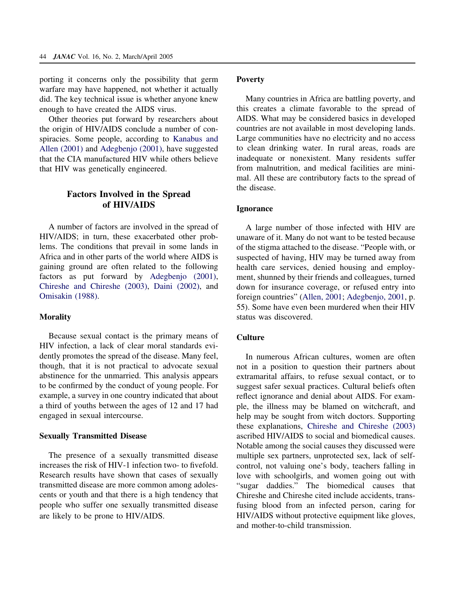porting it concerns only the possibility that germ warfare may have happened, not whether it actually did. The key technical issue is whether anyone knew enough to have created the AIDS virus.

Other theories put forward by researchers about the origin of HIV/AIDS conclude a number of conspiracies. Some people, according to [Kanabus and](#page-8-0) [Allen \(2001\)](#page-8-0) and [Adegbenjo \(2001\),](#page-7-0) have suggested that the CIA manufactured HIV while others believe that HIV was genetically engineered.

# **Factors Involved in the Spread of HIV/AIDS**

A number of factors are involved in the spread of HIV/AIDS; in turn, these exacerbated other problems. The conditions that prevail in some lands in Africa and in other parts of the world where AIDS is gaining ground are often related to the following factors as put forward by [Adegbenjo \(2001\),](#page-7-0) [Chireshe and Chireshe \(2003\),](#page-8-0) [Daini \(2002\),](#page-8-0) and [Omisakin \(1988\).](#page-8-0)

#### **Morality**

Because sexual contact is the primary means of HIV infection, a lack of clear moral standards evidently promotes the spread of the disease. Many feel, though, that it is not practical to advocate sexual abstinence for the unmarried. This analysis appears to be confirmed by the conduct of young people. For example, a survey in one country indicated that about a third of youths between the ages of 12 and 17 had engaged in sexual intercourse.

#### **Sexually Transmitted Disease**

The presence of a sexually transmitted disease increases the risk of HIV-1 infection two- to fivefold. Research results have shown that cases of sexually transmitted disease are more common among adolescents or youth and that there is a high tendency that people who suffer one sexually transmitted disease are likely to be prone to HIV/AIDS.

#### **Poverty**

Many countries in Africa are battling poverty, and this creates a climate favorable to the spread of AIDS. What may be considered basics in developed countries are not available in most developing lands. Large communities have no electricity and no access to clean drinking water. In rural areas, roads are inadequate or nonexistent. Many residents suffer from malnutrition, and medical facilities are minimal. All these are contributory facts to the spread of the disease.

#### **Ignorance**

A large number of those infected with HIV are unaware of it. Many do not want to be tested because of the stigma attached to the disease. "People with, or suspected of having, HIV may be turned away from health care services, denied housing and employment, shunned by their friends and colleagues, turned down for insurance coverage, or refused entry into foreign countries" [\(Allen, 2001;](#page-8-0) [Adegbenjo, 2001,](#page-7-0) p. 55). Some have even been murdered when their HIV status was discovered.

## **Culture**

In numerous African cultures, women are often not in a position to question their partners about extramarital affairs, to refuse sexual contact, or to suggest safer sexual practices. Cultural beliefs often reflect ignorance and denial about AIDS. For example, the illness may be blamed on witchcraft, and help may be sought from witch doctors. Supporting these explanations, [Chireshe and Chireshe \(2003\)](#page-8-0) ascribed HIV/AIDS to social and biomedical causes. Notable among the social causes they discussed were multiple sex partners, unprotected sex, lack of selfcontrol, not valuing one's body, teachers falling in love with schoolgirls, and women going out with "sugar daddies." The biomedical causes that Chireshe and Chireshe cited include accidents, transfusing blood from an infected person, caring for HIV/AIDS without protective equipment like gloves, and mother-to-child transmission.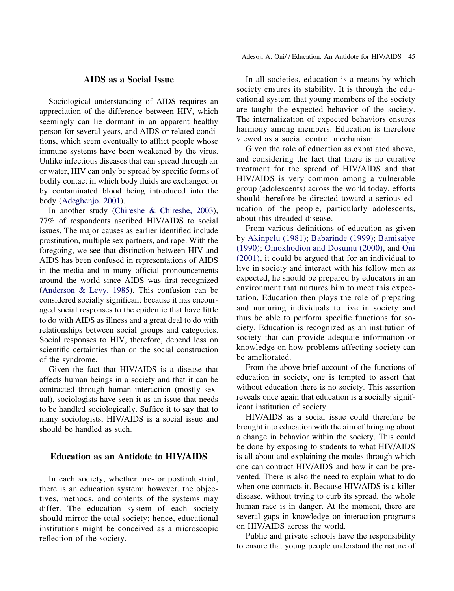Sociological understanding of AIDS requires an appreciation of the difference between HIV, which seemingly can lie dormant in an apparent healthy person for several years, and AIDS or related conditions, which seem eventually to afflict people whose immune systems have been weakened by the virus. Unlike infectious diseases that can spread through air or water, HIV can only be spread by specific forms of bodily contact in which body fluids are exchanged or by contaminated blood being introduced into the body [\(Adegbenjo, 2001\)](#page-7-0).

In another study [\(Chireshe & Chireshe, 2003\)](#page-8-0), 77% of respondents ascribed HIV/AIDS to social issues. The major causes as earlier identified include prostitution, multiple sex partners, and rape. With the foregoing, we see that distinction between HIV and AIDS has been confused in representations of AIDS in the media and in many official pronouncements around the world since AIDS was first recognized [\(Anderson & Levy, 1985\)](#page-7-0). This confusion can be considered socially significant because it has encouraged social responses to the epidemic that have little to do with AIDS as illness and a great deal to do with relationships between social groups and categories. Social responses to HIV, therefore, depend less on scientific certainties than on the social construction of the syndrome.

Given the fact that HIV/AIDS is a disease that affects human beings in a society and that it can be contracted through human interaction (mostly sexual), sociologists have seen it as an issue that needs to be handled sociologically. Suffice it to say that to many sociologists, HIV/AIDS is a social issue and should be handled as such.

#### **Education as an Antidote to HIV/AIDS**

In each society, whether pre- or postindustrial, there is an education system; however, the objectives, methods, and contents of the systems may differ. The education system of each society should mirror the total society; hence, educational institutions might be conceived as a microscopic reflection of the society.

In all societies, education is a means by which society ensures its stability. It is through the educational system that young members of the society are taught the expected behavior of the society. The internalization of expected behaviors ensures harmony among members. Education is therefore viewed as a social control mechanism.

Given the role of education as expatiated above, and considering the fact that there is no curative treatment for the spread of HIV/AIDS and that HIV/AIDS is very common among a vulnerable group (adolescents) across the world today, efforts should therefore be directed toward a serious education of the people, particularly adolescents, about this dreaded disease.

From various definitions of education as given by [Akinpelu \(1981\);](#page-7-0) [Babarinde \(1999\);](#page-8-0) [Bamisaiye](#page-8-0) [\(1990\);](#page-8-0) [Omokhodion and Dosumu \(2000\),](#page-8-0) and [Oni](#page-8-0) [\(2001\),](#page-8-0) it could be argued that for an individual to live in society and interact with his fellow men as expected, he should be prepared by educators in an environment that nurtures him to meet this expectation. Education then plays the role of preparing and nurturing individuals to live in society and thus be able to perform specific functions for society. Education is recognized as an institution of society that can provide adequate information or knowledge on how problems affecting society can be ameliorated.

From the above brief account of the functions of education in society, one is tempted to assert that without education there is no society. This assertion reveals once again that education is a socially significant institution of society.

HIV/AIDS as a social issue could therefore be brought into education with the aim of bringing about a change in behavior within the society. This could be done by exposing to students to what HIV/AIDS is all about and explaining the modes through which one can contract HIV/AIDS and how it can be prevented. There is also the need to explain what to do when one contracts it. Because HIV/AIDS is a killer disease, without trying to curb its spread, the whole human race is in danger. At the moment, there are several gaps in knowledge on interaction programs on HIV/AIDS across the world.

Public and private schools have the responsibility to ensure that young people understand the nature of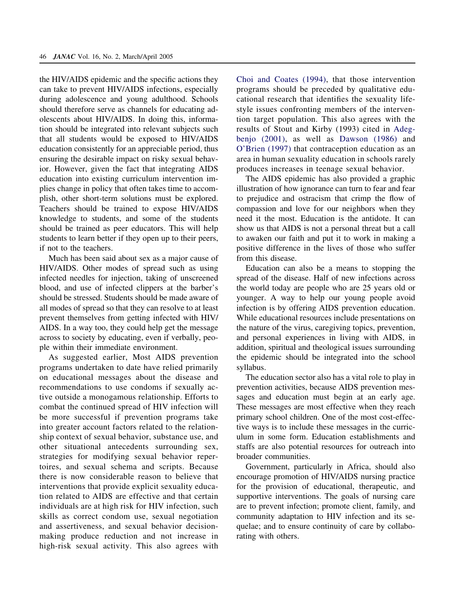the HIV/AIDS epidemic and the specific actions they can take to prevent HIV/AIDS infections, especially during adolescence and young adulthood. Schools should therefore serve as channels for educating adolescents about HIV/AIDS. In doing this, information should be integrated into relevant subjects such that all students would be exposed to HIV/AIDS education consistently for an appreciable period, thus ensuring the desirable impact on risky sexual behavior. However, given the fact that integrating AIDS education into existing curriculum intervention implies change in policy that often takes time to accomplish, other short-term solutions must be explored. Teachers should be trained to expose HIV/AIDS knowledge to students, and some of the students should be trained as peer educators. This will help students to learn better if they open up to their peers, if not to the teachers.

Much has been said about sex as a major cause of HIV/AIDS. Other modes of spread such as using infected needles for injection, taking of unscreened blood, and use of infected clippers at the barber's should be stressed. Students should be made aware of all modes of spread so that they can resolve to at least prevent themselves from getting infected with HIV/ AIDS. In a way too, they could help get the message across to society by educating, even if verbally, people within their immediate environment.

As suggested earlier, Most AIDS prevention programs undertaken to date have relied primarily on educational messages about the disease and recommendations to use condoms if sexually active outside a monogamous relationship. Efforts to combat the continued spread of HIV infection will be more successful if prevention programs take into greater account factors related to the relationship context of sexual behavior, substance use, and other situational antecedents surrounding sex, strategies for modifying sexual behavior repertoires, and sexual schema and scripts. Because there is now considerable reason to believe that interventions that provide explicit sexuality education related to AIDS are effective and that certain individuals are at high risk for HIV infection, such skills as correct condom use, sexual negotiation and assertiveness, and sexual behavior decisionmaking produce reduction and not increase in high-risk sexual activity. This also agrees with

[Choi and Coates \(1994\),](#page-8-0) that those intervention programs should be preceded by qualitative educational research that identifies the sexuality lifestyle issues confronting members of the intervention target population. This also agrees with the results of Stout and Kirby (1993) cited in [Adeg](#page-7-0)[benjo \(2001\),](#page-7-0) as well as [Dawson \(1986\)](#page-8-0) and [O'Brien \(1997\)](#page-8-0) that contraception education as an area in human sexuality education in schools rarely produces increases in teenage sexual behavior.

The AIDS epidemic has also provided a graphic illustration of how ignorance can turn to fear and fear to prejudice and ostracism that crimp the flow of compassion and love for our neighbors when they need it the most. Education is the antidote. It can show us that AIDS is not a personal threat but a call to awaken our faith and put it to work in making a positive difference in the lives of those who suffer from this disease.

Education can also be a means to stopping the spread of the disease. Half of new infections across the world today are people who are 25 years old or younger. A way to help our young people avoid infection is by offering AIDS prevention education. While educational resources include presentations on the nature of the virus, caregiving topics, prevention, and personal experiences in living with AIDS, in addition, spiritual and theological issues surrounding the epidemic should be integrated into the school syllabus.

The education sector also has a vital role to play in prevention activities, because AIDS prevention messages and education must begin at an early age. These messages are most effective when they reach primary school children. One of the most cost-effective ways is to include these messages in the curriculum in some form. Education establishments and staffs are also potential resources for outreach into broader communities.

Government, particularly in Africa, should also encourage promotion of HIV/AIDS nursing practice for the provision of educational, therapeutic, and supportive interventions. The goals of nursing care are to prevent infection; promote client, family, and community adaptation to HIV infection and its sequelae; and to ensure continuity of care by collaborating with others.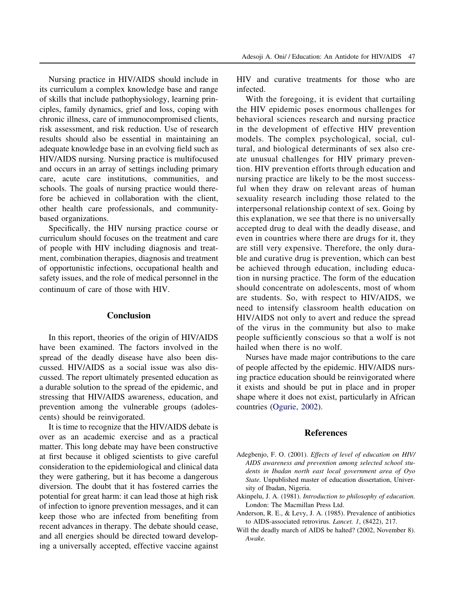<span id="page-7-0"></span>Nursing practice in HIV/AIDS should include in its curriculum a complex knowledge base and range of skills that include pathophysiology, learning principles, family dynamics, grief and loss, coping with chronic illness, care of immunocompromised clients, risk assessment, and risk reduction. Use of research results should also be essential in maintaining an adequate knowledge base in an evolving field such as HIV/AIDS nursing. Nursing practice is multifocused and occurs in an array of settings including primary care, acute care institutions, communities, and schools. The goals of nursing practice would therefore be achieved in collaboration with the client, other health care professionals, and communitybased organizations.

Specifically, the HIV nursing practice course or curriculum should focuses on the treatment and care of people with HIV including diagnosis and treatment, combination therapies, diagnosis and treatment of opportunistic infections, occupational health and safety issues, and the role of medical personnel in the continuum of care of those with HIV.

#### **Conclusion**

In this report, theories of the origin of HIV/AIDS have been examined. The factors involved in the spread of the deadly disease have also been discussed. HIV/AIDS as a social issue was also discussed. The report ultimately presented education as a durable solution to the spread of the epidemic, and stressing that HIV/AIDS awareness, education, and prevention among the vulnerable groups (adolescents) should be reinvigorated.

It is time to recognize that the HIV/AIDS debate is over as an academic exercise and as a practical matter. This long debate may have been constructive at first because it obliged scientists to give careful consideration to the epidemiological and clinical data they were gathering, but it has become a dangerous diversion. The doubt that it has fostered carries the potential for great harm: it can lead those at high risk of infection to ignore prevention messages, and it can keep those who are infected from benefiting from recent advances in therapy. The debate should cease, and all energies should be directed toward developing a universally accepted, effective vaccine against HIV and curative treatments for those who are infected.

With the foregoing, it is evident that curtailing the HIV epidemic poses enormous challenges for behavioral sciences research and nursing practice in the development of effective HIV prevention models. The complex psychological, social, cultural, and biological determinants of sex also create unusual challenges for HIV primary prevention. HIV prevention efforts through education and nursing practice are likely to be the most successful when they draw on relevant areas of human sexuality research including those related to the interpersonal relationship context of sex. Going by this explanation, we see that there is no universally accepted drug to deal with the deadly disease, and even in countries where there are drugs for it, they are still very expensive. Therefore, the only durable and curative drug is prevention, which can best be achieved through education, including education in nursing practice. The form of the education should concentrate on adolescents, most of whom are students. So, with respect to HIV/AIDS, we need to intensify classroom health education on HIV/AIDS not only to avert and reduce the spread of the virus in the community but also to make people sufficiently conscious so that a wolf is not hailed when there is no wolf.

Nurses have made major contributions to the care of people affected by the epidemic. HIV/AIDS nursing practice education should be reinvigorated where it exists and should be put in place and in proper shape where it does not exist, particularly in African countries [\(Ogurie, 2002\)](#page-8-0).

#### **References**

- Adegbenjo, F. O. (2001). *Effects of level of education on HIV/ AIDS awareness and prevention among selected school students in Ibadan north east local government area of Oyo State.* Unpublished master of education dissertation, University of Ibadan, Nigeria.
- Akinpelu, J. A. (1981). *Introduction to philosophy of education.* London: The Macmillan Press Ltd.
- Anderson, R. E., & Levy, J. A. (1985). Prevalence of antibiotics to AIDS-associated retrovirus. *Lancet. 1*, (8422), 217.
- Will the deadly march of AIDS be halted? (2002, November 8). *Awake.*